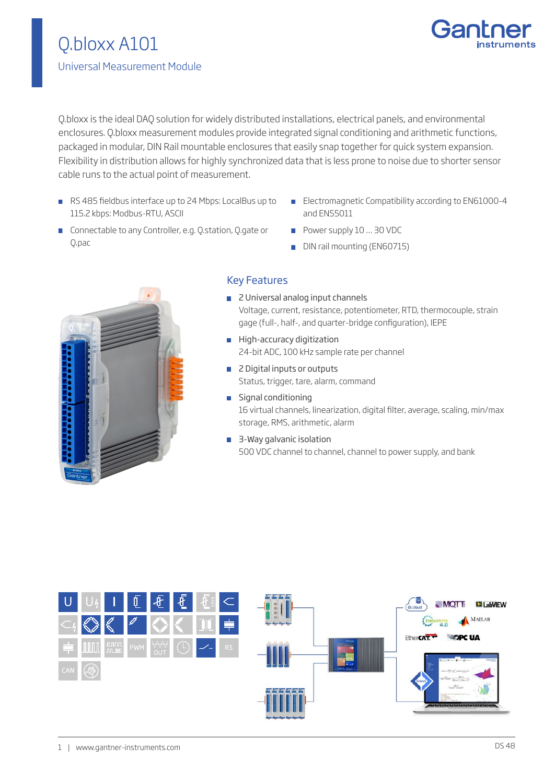

Q.bloxx is the ideal DAQ solution for widely distributed installations, electrical panels, and environmental enclosures. Q.bloxx measurement modules provide integrated signal conditioning and arithmetic functions, packaged in modular, DIN Rail mountable enclosures that easily snap together for quick system expansion. Flexibility in distribution allows for highly synchronized data that is less prone to noise due to shorter sensor cable runs to the actual point of measurement.

- RS 485 fieldbus interface up to 24 Mbps: LocalBus up to 115.2 kbps: Modbus-RTU, ASCII
- **Electromagnetic Compatibility according to EN61000-4** and EN55011
- **Connectable to any Controller, e.g. Q.station, Q.gate or** Q.pac
- Power supply 10 ... 30 VDC
- DIN rail mounting (EN60715)



## Key Features

- 2 Universal analog input channels Voltage, current, resistance, potentiometer, RTD, thermocouple, strain gage (full-, half-, and quarter-bridge configuration), IEPE
- **High-accuracy digitization** 24-bit ADC, 100 kHz sample rate per channel
- 2 Digital inputs or outputs Status, trigger, tare, alarm, command
- **Signal conditioning** 16 virtual channels, linearization, digital filter, average, scaling, min/max storage, RMS, arithmetic, alarm
- 3-Way galvanic isolation 500 VDC channel to channel, channel to power supply, and bank

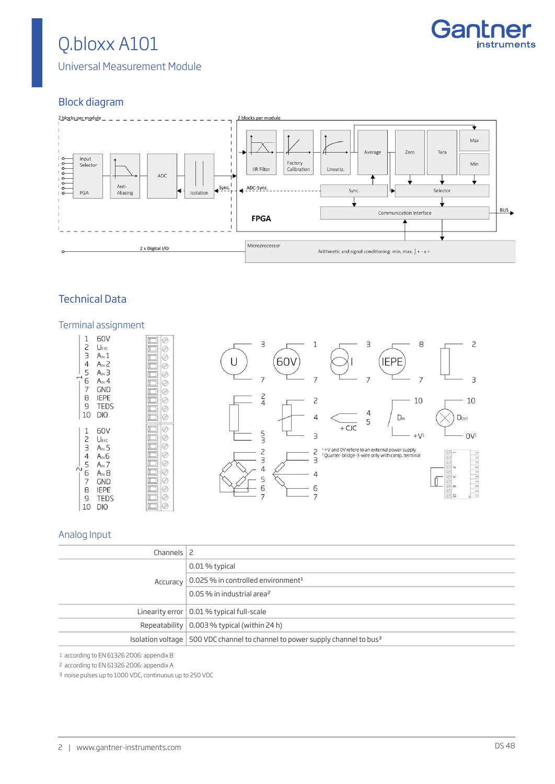

Universal Measurement Module

# Block diagram



# Technical Data

#### Terminal assignment





#### Analog Input

| Channels $\vert$ 2 |                                                                                            |
|--------------------|--------------------------------------------------------------------------------------------|
|                    | 0.01 % typical                                                                             |
| Accuracy           | $\vert$ 0.025 % in controlled environment <sup>1</sup>                                     |
|                    | 0.05 % in industrial area <sup>2</sup>                                                     |
|                    | Linearity error $\vert$ 0.01 % typical full-scale                                          |
|                    | Repeatability $\vert$ 0.003 % typical (within 24 h)                                        |
|                    | Isolation voltage   500 VDC channel to channel to power supply channel to bus <sup>3</sup> |

1 according to EN 61326 2006: appendix B

2 according to EN 61326 2006: appendix A

3 noise pulses up to 1000 VDC, continuous up to 250 VDC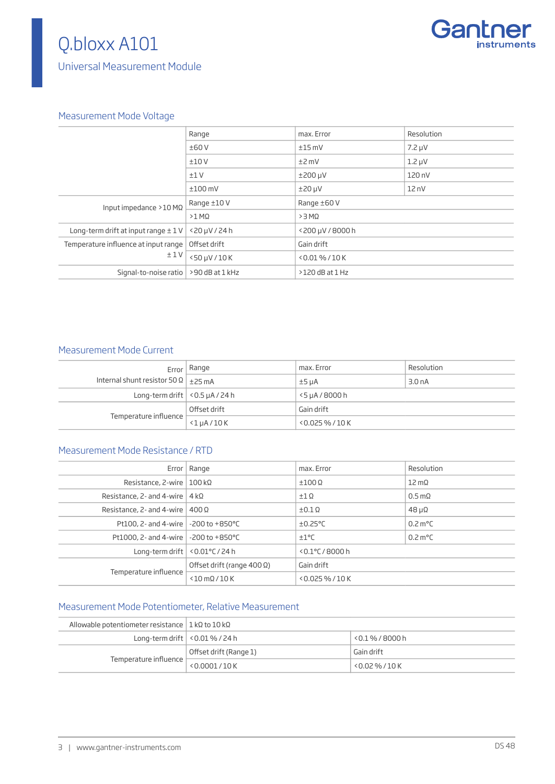Universal Measurement Module



### Measurement Mode Voltage

|                                          | Range            | max. Error          | Resolution  |
|------------------------------------------|------------------|---------------------|-------------|
|                                          | ±60V             | $±15$ mV            | $7.2 \mu V$ |
|                                          | ±10V             | $±2$ mV             | $1.2 \mu V$ |
|                                          | ±1V              | $±200 \mu V$        | 120 nV      |
|                                          | $±100$ mV        | $±20 \mu V$         | 12nV        |
| Input impedance $>10$ M $\Omega$         | Range ±10V       | Range ±60 V         |             |
|                                          | $>1$ M $\Omega$  | $>3$ MQ             |             |
| Long-term drift at input range $\pm$ 1 V | $<$ 20 µV / 24 h | <200 µV / 8000 h    |             |
| Temperature influence at input range     | Offset drift     | Gain drift          |             |
| ±1V                                      | <50 µV / 10 K    | $< 0.01 \% / 10 K$  |             |
| Signal-to-noise ratio                    | >90 dB at 1 kHz  | $>120$ dB at $1$ Hz |             |
|                                          |                  |                     |             |

## Measurement Mode Current

|                                                   | Error   Range   | max. Error          | Resolution         |
|---------------------------------------------------|-----------------|---------------------|--------------------|
| Internal shunt resistor 50 $\Omega$   $\pm$ 25 mA |                 | $±5 \mu A$          | 3.0 <sub>n</sub> A |
| Long-term drift $\vert$ < 0.5 $\mu$ A / 24 h      |                 | <5 µA / 8000 h      |                    |
|                                                   | Offset drift    | Gain drift          |                    |
| Temperature influence                             | $<$ 1 $u$ A/10K | $< 0.025 \% / 10 K$ |                    |

### Measurement Mode Resistance / RTD

|                                            | Error   Range                      | max. Error           | Resolution                |
|--------------------------------------------|------------------------------------|----------------------|---------------------------|
| Resistance, 2-wire   $100 \text{ k}\Omega$ |                                    | $±100$ $\Omega$      | $12 \,\mathrm{m}\Omega$   |
| Resistance, 2- and 4-wire $ 4 k\Omega$     |                                    | $\pm 1 \Omega$       | $0.5 \text{ m}\Omega$     |
| Resistance, 2- and 4-wire   $400 \Omega$   |                                    | $\pm 0.1 \Omega$     | $48 \mu\Omega$            |
| Pt100, 2- and 4-wire   -200 to +850 °C     |                                    | $\pm 0.25^{\circ}$ C | $0.2 \text{ m}^{\circ}$ C |
| Pt1000, 2- and 4-wire   -200 to +850 °C    |                                    | ±1°C                 | $0.2 \text{ m}^{\circ}$ C |
| Long-term drift $ $ < 0.01 °C / 24 h       |                                    | $< 0.1$ °C/8000 h    |                           |
| Temperature influence                      | Offset drift (range 400 $\Omega$ ) | Gain drift           |                           |
|                                            | $<$ 10 mQ/10 K                     | $<$ 0.025 % / 10 K   |                           |

# Measurement Mode Potentiometer, Relative Measurement

| Allowable potentiometer resistance $\vert$ 1 kQ to 10 kQ |                                         |                     |
|----------------------------------------------------------|-----------------------------------------|---------------------|
|                                                          | Long-term drift $\vert$ < 0.01 % / 24 h | $< 0.1 \% / 8000 h$ |
| Temperature influence                                    | Offset drift (Range 1)                  | Gain drift          |
|                                                          | < 0.0001 / 10 K                         | $50.02\%$ / $10K$   |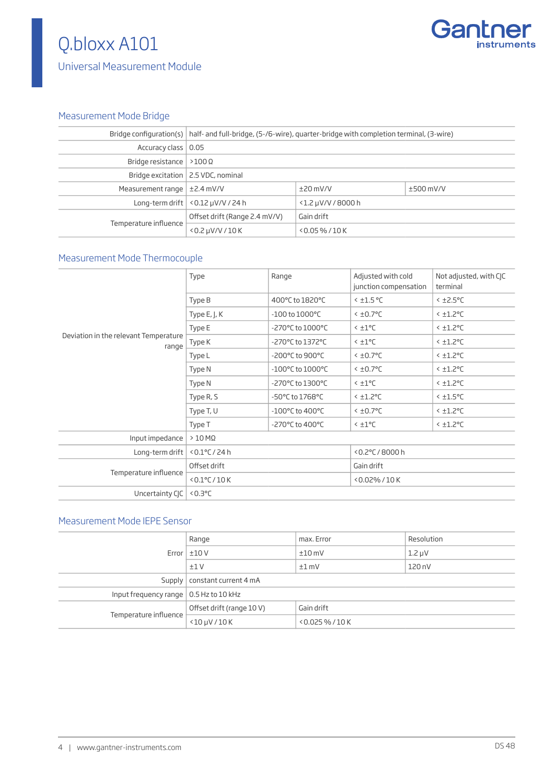

# Universal Measurement Module

# Measurement Mode Bridge

|                                  | Bridge configuration(s)   half- and full-bridge, (5-/6-wire), quarter-bridge with completion terminal, (3-wire) |                       |             |
|----------------------------------|-----------------------------------------------------------------------------------------------------------------|-----------------------|-------------|
| Accuracy class   0.05            |                                                                                                                 |                       |             |
| Bridge resistance $ >100 \Omega$ |                                                                                                                 |                       |             |
|                                  | Bridge excitation   2.5 VDC, nominal                                                                            |                       |             |
| Measurement range $\pm$ 2.4 mV/V |                                                                                                                 | $\pm$ 20 mV/V         | $±500$ mV/V |
|                                  | Long-term drift $\vert$ < 0.12 $\mu$ V/V / 24 h                                                                 | $<$ 1.2 µV/V / 8000 h |             |
|                                  | Offset drift (Range 2.4 mV/V)                                                                                   | Gain drift            |             |
| Temperature influence            | $<$ 0.2 $\mu$ V/V / 10 K                                                                                        | $<$ 0.05 % / 10 K     |             |

# Measurement Mode Thermocouple

|                                                | Type             | Range                                | Adjusted with cold<br>junction compensation | Not adjusted, with CJC<br>terminal |
|------------------------------------------------|------------------|--------------------------------------|---------------------------------------------|------------------------------------|
|                                                | Type B           | 400°C to 1820°C                      | $<$ ±1.5 °C                                 | $<$ ±2.5°C                         |
|                                                | Type E, J, K     | $-100$ to $1000^{\circ}$ C           | $<$ $\pm$ 0.7°C                             | $<$ $\pm$ 1.2°C                    |
|                                                | Type E           | -270°C to 1000°C                     | $< \pm 1$ °C                                | $<$ $\pm$ 1.2°C                    |
| Deviation in the relevant Temperature<br>range | Type K           | -270°C to 1372°C                     | $< \pm 1$ °C                                | $<$ $\pm$ 1.2°C                    |
|                                                | Type L           | -200°C to 900°C                      | $<$ $\pm$ 0.7°C                             | $<$ $\pm$ 1.2 $\degree$ C          |
|                                                | Type N           | $-100^{\circ}$ C to $1000^{\circ}$ C | $<$ $\pm$ 0.7°C                             | $<$ $\pm$ 1.2°C                    |
|                                                | Type N           | -270°C to 1300°C                     | $< 10^{\circ}$                              | $<$ $\pm$ 1.2°C                    |
|                                                | Type R, S        | -50°C to 1768°C                      | $<$ $\pm$ 1.2 $\degree$ C                   | $<$ $\pm$ 1.5°C                    |
|                                                | Type T, U        | $-100^{\circ}$ C to 400 $^{\circ}$ C | $<$ $\pm$ 0.7°C                             | $<$ $\pm$ 1.2°C                    |
|                                                | Type T           | -270°C to 400°C                      | $< \pm 1$ °C                                | $<$ $\pm$ 1.2 $\degree$ C          |
| Input impedance                                | $>10$ M $\Omega$ |                                      |                                             |                                    |
| Long-term drift                                | $< 0.1$ °C/24 h  |                                      | <0.2°C / 8000 h                             |                                    |
| Temperature influence                          | Offset drift     |                                      | Gain drift                                  |                                    |
|                                                | $<$ 0.1°C/10 K   |                                      | <0.02%/10K                                  |                                    |
| Uncertainty CJC                                | $0.3$ °C         |                                      |                                             |                                    |

## Measurement Mode IEPE Sensor

|                                                | Range                          | max. Error          | Resolution  |
|------------------------------------------------|--------------------------------|---------------------|-------------|
|                                                | Error $\pm 10$ V               | $±10$ mV            | $1.2 \mu V$ |
|                                                | ±1V                            | $±1$ mV             | 120 nV      |
|                                                | Supply   constant current 4 mA |                     |             |
| Input frequency range $\vert$ 0.5 Hz to 10 kHz |                                |                     |             |
|                                                | Offset drift (range 10 V)      | Gain drift          |             |
| Temperature influence                          | $<$ 10 $\mu$ V/10 K            | $< 0.025 \% / 10 K$ |             |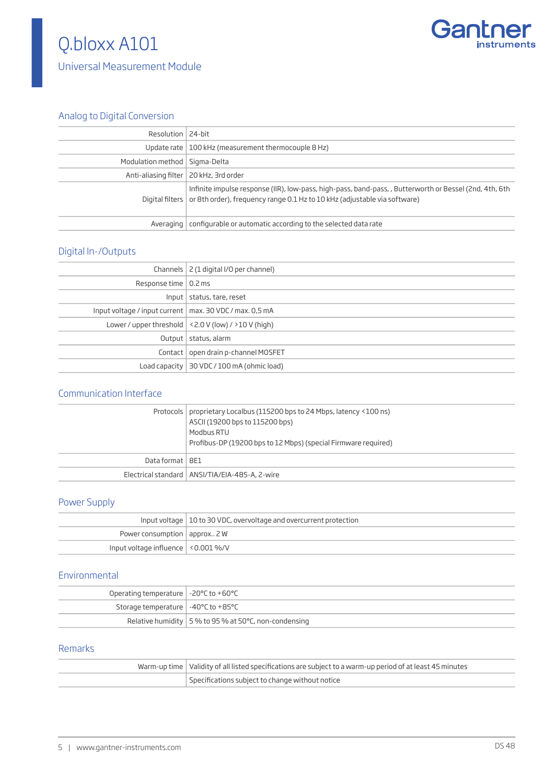

# Analog to Digital Conversion

| Resolution   24-bit                      |                                                                                                                                                                                                      |
|------------------------------------------|------------------------------------------------------------------------------------------------------------------------------------------------------------------------------------------------------|
|                                          | Update rate $\vert$ 100 kHz (measurement thermocouple 8 Hz)                                                                                                                                          |
| Modulation method   Sigma-Delta          |                                                                                                                                                                                                      |
| Anti-aliasing filter   20 kHz, 3rd order |                                                                                                                                                                                                      |
|                                          | Infinite impulse response (IIR), low-pass, high-pass, band-pass, , Butterworth or Bessel (2nd, 4th, 6th<br>Digital filters or 8th order), frequency range 0.1 Hz to 10 kHz (adjustable via software) |
|                                          | Averaging   configurable or automatic according to the selected data rate                                                                                                                            |

#### Digital In-/Outputs

| Channels   2 (1 digital I/O per channel)                  |
|-----------------------------------------------------------|
| Response time   0.2 ms                                    |
| Input   status, tare, reset                               |
| Input voltage / input current   max. 30 VDC / max. 0,5 mA |
| Lower / upper threshold $ $ < 2.0 V (low) / > 10 V (high) |
| Output   status, alarm                                    |
| Contact   open drain p-channel MOSFET                     |
| Load capacity   30 VDC / 100 mA (ohmic load)              |
|                                                           |

## Communication Interface

|                   | Protocols   proprietary Localbus (115200 bps to 24 Mbps, latency <100 ns)<br>ASCII (19200 bps to 115200 bps)<br>Modbus RTU<br>Profibus-DP (19200 bps to 12 Mbps) (special Firmware required) |
|-------------------|----------------------------------------------------------------------------------------------------------------------------------------------------------------------------------------------|
| Data format   8E1 |                                                                                                                                                                                              |
|                   | Electrical standard   ANSI/TIA/EIA-485-A, 2-wire                                                                                                                                             |

#### Power Supply

|                                      | Input voltage   10 to 30 VDC, overvoltage and overcurrent protection |  |
|--------------------------------------|----------------------------------------------------------------------|--|
| Power consumption $ $ approx 2 W     |                                                                      |  |
| Input voltage influence   <0.001 %/V |                                                                      |  |

### Environmental

| Operating temperature $\vert$ -20°C to +60°C                  |                                                                |
|---------------------------------------------------------------|----------------------------------------------------------------|
| Storage temperature $\vert -40^{\circ}$ C to +85 $^{\circ}$ C |                                                                |
|                                                               | Relative humidity $\vert$ 5 % to 95 % at 50 °C, non-condensing |

## Remarks

| Warm-up time   Validity of all listed specifications are subject to a warm-up period of at least 45 minutes |
|-------------------------------------------------------------------------------------------------------------|
| Specifications subject to change without notice                                                             |